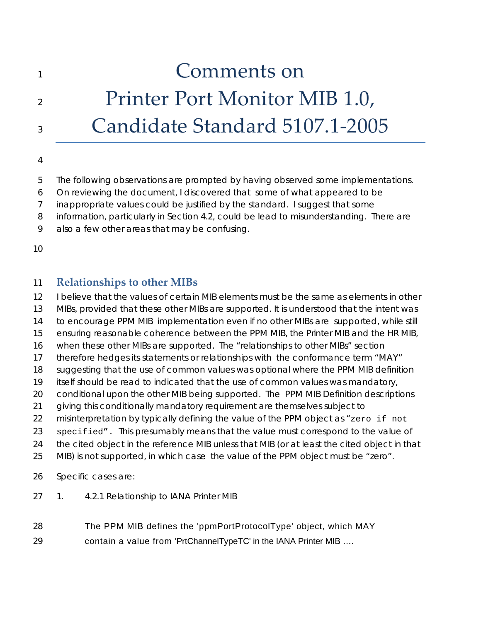## 1 and **1** Comments on 2 Printer Port Monitor MIB 1.0, <sup>3</sup>Candidate Standard 5107.1‐2005

## 4

- 5 The following observations are prompted by having observed some implementations.
- 6 On reviewing the document, I discovered that some of what appeared to be
- 7 inappropriate values could be justified by the standard. I suggest that some
- 8 information, particularly in Section 4.2, could be lead to misunderstanding. There are
- 9 also a few other areas that may be confusing.

10

## 11 **Relationships to other MIBs**

- 12 I believe that the values of certain MIB elements must be the same as elements in other
- 13 MIBs, provided that these other MIBs are supported. It is understood that the intent was
- 14 to encourage PPM MIB implementation even if no other MIBs are supported, while still
- 15 ensuring reasonable coherence between the PPM MIB, the Printer MIB and the HR MIB,
- 16 when these other MIBs are supported. The "relationships to other MIBs" section
- 17 therefore hedges its statements or relationships with the conformance term "MAY"
- 18 suggesting that the use of common values was optional where the PPM MIB definition
- 19 itself should be read to indicated that the use of common values was mandatory,
- 20 conditional upon the other MIB being supported. The PPM MIB Definition descriptions
- 21 giving this conditionally mandatory requirement are themselves subject to
- 22 misinterpretation by typically defining the value of the PPM object as "zero if not
- 23 specified". This presumably means that the value must correspond to the value of
- 24 the cited object in the reference MIB unless that MIB (or at least the cited object in that
- 25 MIB) is not supported, in which case the value of the PPM object must be "zero".
- 26 Specific cases are:
- 27 1. 4.2.1 Relationship to IANA Printer MIB
- 28 The PPM MIB defines the 'ppmPortProtocolType' object, which MAY 29 contain a value from 'PrtChannelTypeTC' in the IANA Printer MIB ….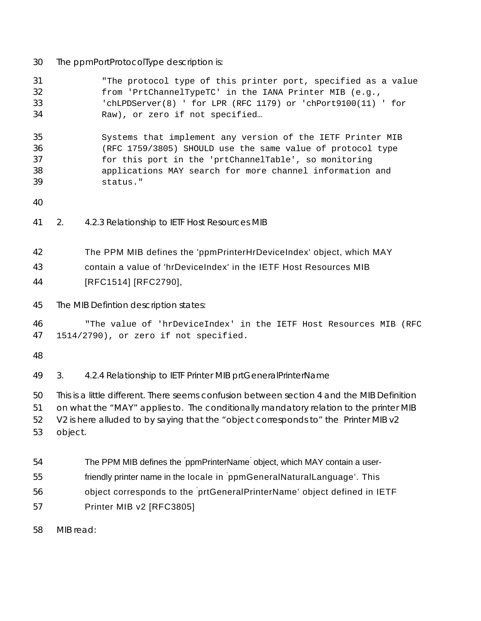30 The ppmPortProtocolType description is:

| 31<br>32<br>33<br>34       | "The protocol type of this printer port, specified as a value<br>from 'PrtChannelTypeTC' in the IANA Printer MIB (e.g.,<br>'chLPDServer(8) ' for LPR (RFC 1179) or 'chPort9100(11) ' for<br>Raw), or zero if not specified                                                            |  |  |
|----------------------------|---------------------------------------------------------------------------------------------------------------------------------------------------------------------------------------------------------------------------------------------------------------------------------------|--|--|
| 35<br>36<br>37<br>38<br>39 | Systems that implement any version of the IETF Printer MIB<br>(RFC 1759/3805) SHOULD use the same value of protocol type<br>for this port in the 'prtChannelTable', so monitoring<br>applications MAY search for more channel information and<br>status."                             |  |  |
| 40                         |                                                                                                                                                                                                                                                                                       |  |  |
| 41                         | 4.2.3 Relationship to IETF Host Resources MIB<br>2.                                                                                                                                                                                                                                   |  |  |
| 42<br>43<br>44             | The PPM MIB defines the 'ppmPrinterHrDeviceIndex' object, which MAY<br>contain a value of 'hrDeviceIndex' in the IETF Host Resources MIB<br>[RFC1514] [RFC2790],                                                                                                                      |  |  |
| 45                         | The MIB Defintion description states:                                                                                                                                                                                                                                                 |  |  |
| 46<br>47                   | "The value of 'hrDeviceIndex' in the IETF Host Resources MIB (RFC<br>1514/2790), or zero if not specified.                                                                                                                                                                            |  |  |
| 48                         |                                                                                                                                                                                                                                                                                       |  |  |
| 49                         | 3.<br>4.2.4 Relationship to IETF Printer MIB prtGeneralPrinterName                                                                                                                                                                                                                    |  |  |
| 50<br>51<br>52<br>53       | This is a little different. There seems confusion between section 4 and the MIB Definition<br>on what the "MAY" applies to. The conditionally mandatory relation to the printer MIB<br>V2 is here alluded to by saying that the "object corresponds to" the Printer MIB v2<br>object. |  |  |
| 54                         | The PPM MIB defines the ppmPrinterName object, which MAY contain a user-                                                                                                                                                                                                              |  |  |
| 55                         | friendly printer name in the locale in ppmGeneralNaturalLanguage'. This                                                                                                                                                                                                               |  |  |
| 56                         | object corresponds to the prtGeneralPrinterName' object defined in IETF                                                                                                                                                                                                               |  |  |
| 57                         | Printer MIB v2 [RFC3805]                                                                                                                                                                                                                                                              |  |  |

58 MIB read: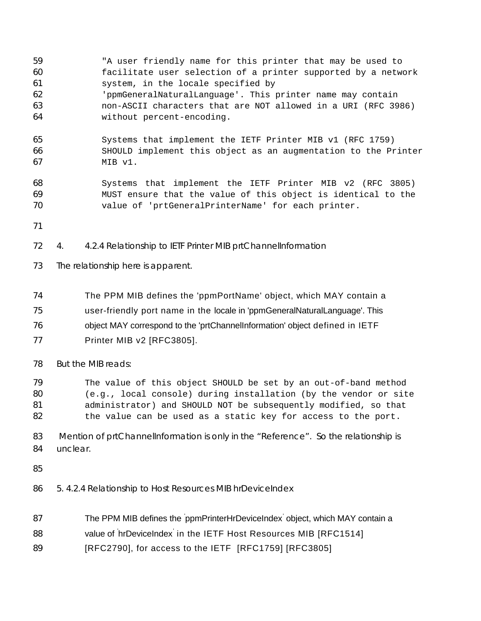- "A user friendly name for this printer that may be used to facilitate user selection of a printer supported by a network system, in the locale specified by 'ppmGeneralNaturalLanguage'. This printer name may contain non-ASCII characters that are NOT allowed in a URI (RFC 3986) without percent-encoding. Systems that implement the IETF Printer MIB v1 (RFC 1759) SHOULD implement this object as an augmentation to the Printer MIB v1. Systems that implement the IETF Printer MIB v2 (RFC 3805) MUST ensure that the value of this object is identical to the value of 'prtGeneralPrinterName' for each printer. 72 4. 4.2.4 Relationship to IETF Printer MIB prtChannelInformation 73 The relationship here is apparent. The PPM MIB defines the 'ppmPortName' object, which MAY contain a user-friendly port name in the locale in 'ppmGeneralNaturalLanguage'. This object MAY correspond to the 'prtChannelInformation' object defined in IETF Printer MIB v2 [RFC3805]. 78 But the MIB reads: The value of this object SHOULD be set by an out-of-band method (e.g., local console) during installation (by the vendor or site administrator) and SHOULD NOT be subsequently modified, so that 82 the value can be used as a static key for access to the port. 83 Mention of prtChannelInformation is only in the "Reference". So the relationship is 84 unclear. 86 5. 4.2.4 Relationship to Host Resources MIB hrDeviceIndex 87 The PPM MIB defines the ppmPrinterHrDeviceIndex object, which MAY contain a 88 value of 'hrDeviceIndex' in the IETF Host Resources MIB [RFC1514]
- 89 [RFC2790], for access to the IETF [RFC1759] [RFC3805]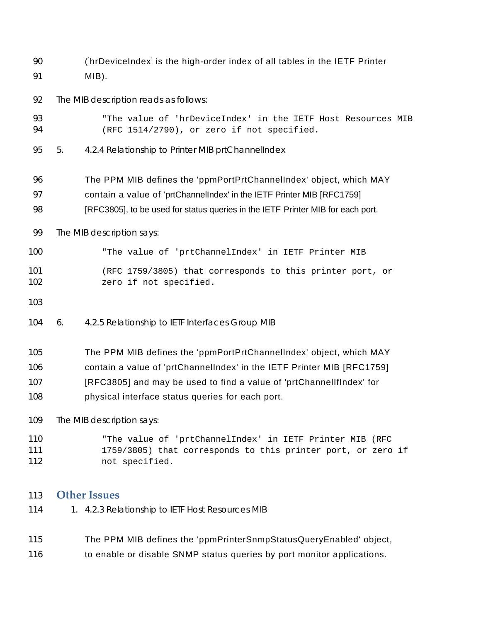90 (hrDeviceIndex is the high-order index of all tables in the IETF Printer MIB).

92 The MIB description reads as follows:

- "The value of 'hrDeviceIndex' in the IETF Host Resources MIB (RFC 1514/2790), or zero if not specified.
- 95 5. 4.2.4 Relationship to Printer MIB prtChannelIndex
- The PPM MIB defines the 'ppmPortPrtChannelIndex' object, which MAY
- contain a value of 'prtChannelIndex' in the IETF Printer MIB [RFC1759]
- 98 [RFC3805], to be used for status queries in the IETF Printer MIB for each port.

99 The MIB description says:

- "The value of 'prtChannelIndex' in IETF Printer MIB
- (RFC 1759/3805) that corresponds to this printer port, or 102 zero if not specified.
- 
- 104 6. 4.2.5 Relationship to IETF Interfaces Group MIB
- The PPM MIB defines the 'ppmPortPrtChannelIndex' object, which MAY
- contain a value of 'prtChannelIndex' in the IETF Printer MIB [RFC1759]
- [RFC3805] and may be used to find a value of 'prtChannelIfIndex' for
- physical interface status queries for each port.

109 The MIB description says:

"The value of 'prtChannelIndex' in IETF Printer MIB (RFC 1759/3805) that corresponds to this printer port, or zero if not specified.

## **Other Issues**

- 114 1. 4.2.3 Relationship to IETF Host Resources MIB
- The PPM MIB defines the 'ppmPrinterSnmpStatusQueryEnabled' object,
- 116 to enable or disable SNMP status queries by port monitor applications.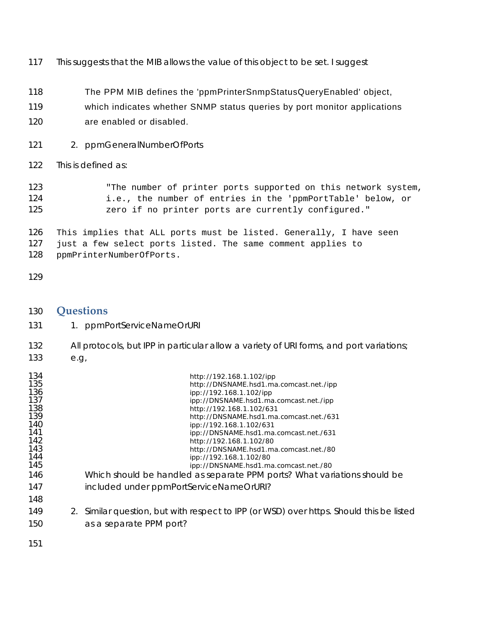117 This suggests that the MIB allows the value of this object to be set. I suggest

- The PPM MIB defines the 'ppmPrinterSnmpStatusQueryEnabled' object,
- which indicates whether SNMP status queries by port monitor applications
- are enabled or disabled.
- 121 2. ppmGeneralNumberOfPorts
- 122 This is defined as:

123 The number of printer ports supported on this network system, i.e., the number of entries in the 'ppmPortTable' below, or **zero if no printer ports are currently configured.**"

This implies that ALL ports must be listed. Generally, I have seen just a few select ports listed. The same comment applies to ppmPrinterNumberOfPorts.

| 130<br>131                                                                                                          |      | Questions<br>1. ppmPortServiceNameOrURI                                                                                                                                                                                                                                                                                                                                                                                                                                                                                                                                                                                                                                   |
|---------------------------------------------------------------------------------------------------------------------|------|---------------------------------------------------------------------------------------------------------------------------------------------------------------------------------------------------------------------------------------------------------------------------------------------------------------------------------------------------------------------------------------------------------------------------------------------------------------------------------------------------------------------------------------------------------------------------------------------------------------------------------------------------------------------------|
| 132<br>133                                                                                                          | e.g. | All protocols, but IPP in particular allow a variety of URI forms, and port variations;                                                                                                                                                                                                                                                                                                                                                                                                                                                                                                                                                                                   |
| 134<br>135<br>136<br>137<br>138<br>139<br>140<br>141<br>142<br>143<br>144<br>145<br>146<br>147<br>148<br>149<br>150 |      | http://192.168.1.102/ipp<br>http://DNSNAME.hsd1.ma.comcast.net./ipp<br>ipp://192.168.1.102/ipp<br>ipp://DNSNAME.hsd1.ma.comcast.net./ipp<br>http://192.168.1.102/631<br>http://DNSNAME.hsd1.ma.comcast.net./631<br>ipp://192.168.1.102/631<br>ipp://DNSNAME.hsd1.ma.comcast.net./631<br>http://192.168.1.102/80<br>http://DNSNAME.hsd1.ma.comcast.net./80<br>ipp://192.168.1.102/80<br>ipp://DNSNAME.hsd1.ma.comcast.net./80<br>Which should be handled as separate PPM ports? What variations should be<br>included under ppmPortServiceNameOrURI?<br>2. Similar question, but with respect to IPP (or WSD) over https. Should this be listed<br>as a separate PPM port? |
| 151                                                                                                                 |      |                                                                                                                                                                                                                                                                                                                                                                                                                                                                                                                                                                                                                                                                           |